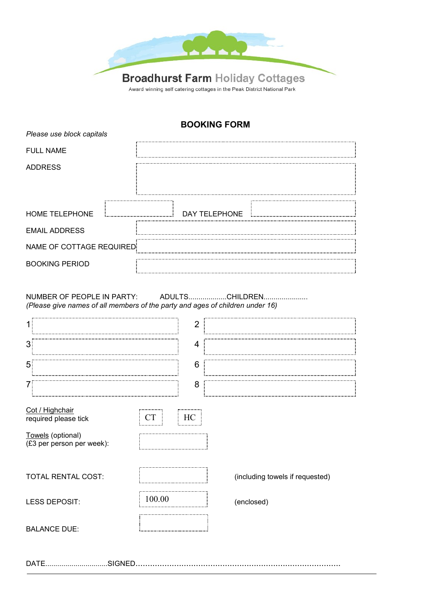

## **BOOKING FORM**

| Please use block capitals |               |
|---------------------------|---------------|
| <b>FULL NAME</b>          |               |
| <b>ADDRESS</b>            |               |
| HOME TELEPHONE            | DAY TELEPHONE |
| <b>EMAIL ADDRESS</b>      |               |
| NAME OF COTTAGE REQUIRED  |               |
| <b>BOOKING PERIOD</b>     |               |

NUMBER OF PEOPLE IN PARTY: ADULTS..................CHILDREN..................... *(Please give names of all members of the party and ages of children under 16)*

| 1                                                                                         |        | 2  |                                 |  |
|-------------------------------------------------------------------------------------------|--------|----|---------------------------------|--|
| 3                                                                                         |        | 4  |                                 |  |
| 5                                                                                         |        | 6  |                                 |  |
| 7                                                                                         |        | 8  |                                 |  |
| Cot / Highchair<br>required please tick<br>Towels (optional)<br>(£3 per person per week): | CТ     | HC |                                 |  |
| TOTAL RENTAL COST:                                                                        |        |    | (including towels if requested) |  |
| <b>LESS DEPOSIT:</b>                                                                      | 100.00 |    | (enclosed)                      |  |
| <b>BALANCE DUE:</b>                                                                       |        |    |                                 |  |
| SIGNED.<br>DATE                                                                           |        |    |                                 |  |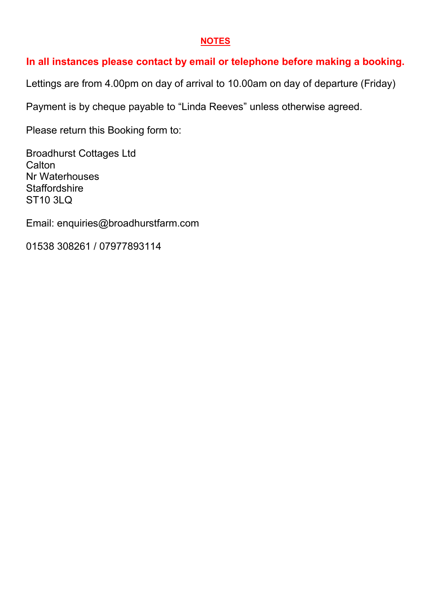## **NOTES**

## **In all instances please contact by email or telephone before making a booking.**

Lettings are from 4.00pm on day of arrival to 10.00am on day of departure (Friday)

Payment is by cheque payable to "Linda Reeves" unless otherwise agreed.

Please return this Booking form to:

Broadhurst Cottages Ltd **Calton** Nr Waterhouses **Staffordshire** ST10 3LQ

Email: enquiries@broadhurstfarm.com

01538 308261 / 07977893114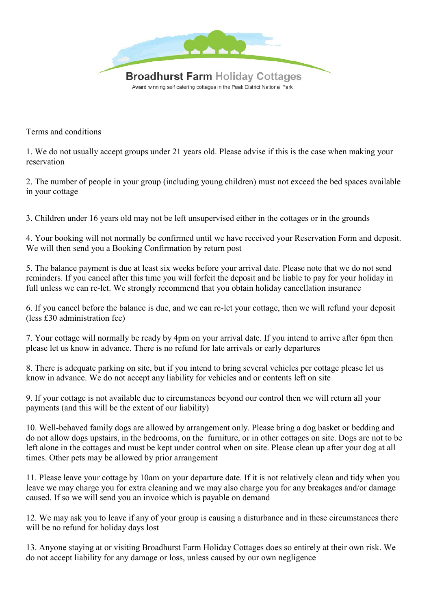

Terms and conditions

1. We do not usually accept groups under 21 years old. Please advise if this is the case when making your reservation

2. The number of people in your group (including young children) must not exceed the bed spaces available in your cottage

3. Children under 16 years old may not be left unsupervised either in the cottages or in the grounds

4. Your booking will not normally be confirmed until we have received your Reservation Form and deposit. We will then send you a Booking Confirmation by return post

5. The balance payment is due at least six weeks before your arrival date. Please note that we do not send reminders. If you cancel after this time you will forfeit the deposit and be liable to pay for your holiday in full unless we can re-let. We strongly recommend that you obtain holiday cancellation insurance

6. If you cancel before the balance is due, and we can re-let your cottage, then we will refund your deposit (less £30 administration fee)

7. Your cottage will normally be ready by 4pm on your arrival date. If you intend to arrive after 6pm then please let us know in advance. There is no refund for late arrivals or early departures

8. There is adequate parking on site, but if you intend to bring several vehicles per cottage please let us know in advance. We do not accept any liability for vehicles and or contents left on site

9. If your cottage is not available due to circumstances beyond our control then we will return all your payments (and this will be the extent of our liability)

10. Well-behaved family dogs are allowed by arrangement only. Please bring a dog basket or bedding and do not allow dogs upstairs, in the bedrooms, on the furniture, or in other cottages on site. Dogs are not to be left alone in the cottages and must be kept under control when on site. Please clean up after your dog at all times. Other pets may be allowed by prior arrangement

11. Please leave your cottage by 10am on your departure date. If it is not relatively clean and tidy when you leave we may charge you for extra cleaning and we may also charge you for any breakages and/or damage caused. If so we will send you an invoice which is payable on demand

12. We may ask you to leave if any of your group is causing a disturbance and in these circumstances there will be no refund for holiday days lost

13. Anyone staying at or visiting Broadhurst Farm Holiday Cottages does so entirely at their own risk. We do not accept liability for any damage or loss, unless caused by our own negligence